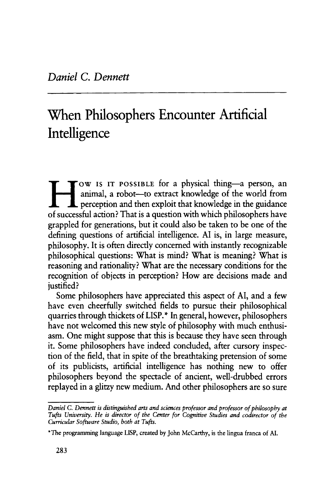# When Philosophers Encounter Artificial Intelligence

How is it possible for a physical thing-a person, an animal, a robot--to extract knowledge of the world from<br>perception and then exploit that knowledge in the guidance of successful action? That is a question with which philosophers have grappled for generations, but it could also be taken to be one of the defining questions of artificial intelligence. AI is, in large measure, philosophy. It is often directly concerned with instantly recognizable philosophical questions: What is mind? What is meaning? What is reasoning and rationality? What are the necessary conditions for the reasoning and rationally? What are the necessary conditions for  $t = t_1 + \cdots + t_n$ recognition of objects in perception. How are decisions made and justified?<br>Some philosophers have appreciated this aspect of AI, and a few

have even cheerfully switched fields to pursue their philosophical quarries through thickets of LISP.\* In general, however, philosophers have not welcomed this new style of philosophy with much enthusiasm. One might suppose that this is because they have seen through it. Some philosophers have indeed concluded, after cursory inspection of the field, that in spite of the breathtaking pretension of some of its publicists, artificial intelligence has nothing new to offer philosophers beyond the spectacle of ancient, well-drubbed errors philosophers beyond the spectacle of ancient, well-drubbed errors replayed in a glitzy new medium. And other philosophers are so sure

Daniel C. Dennett is distinguished arts and sciences professor and professor of philosophy at Tuffs University University. He is director of the Center for Cognitive Studies and council of the Center of the Center of the Center of the Center of the Center of the Center of the Center of the Center of the Center of t Curricular Software Studio, both at Tufts.

 <sup>\*</sup>The programming language LISP, created by John McCarthy, is the lingua franca of AI.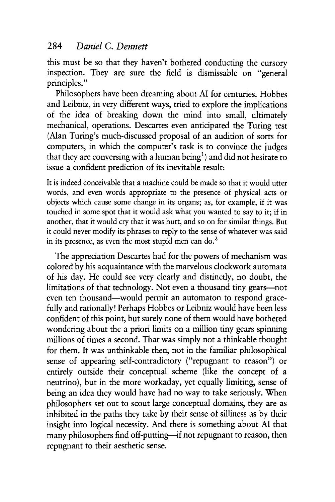this must be so that they haven't bothered conducting the cursory inspection. They are sure the field is dismissable on "general principles."<br>Philosophers have been dreaming about AI for centuries. Hobbes

and Leibniz, in very different ways, tried to explore the implications of the idea of breaking down the mind into small, ultimately mechanical, operations. Descartes even anticipated the Turing test (Alan Turing's much-discussed proposal of an audition of sorts for computers, in which the computer's task is to convince the judges that they are conversing with a human being<sup>1</sup>) and did not hesitate to that they are conversing with a human being  $\int$  and did not hesitate to issue a confident prediction of its inevitable result:

It is indeed conceivable that a machine could be made so that it would utter words, and even words appropriate to the presence of physical acts or objects which cause some change in its organs; as, for example, if it was touched in some spot that it would ask what you wanted to say to it; if in another, that it would cry that it was hurt, and so on for similar things. But it could never modify its phrases to reply to the sense of whatever was said  $\ddot{\textbf{r}}$  could never modify the phrases to reply to the sense of whatever was  $\ddot{\textbf{s}}$ in its presence, as even the most stupid men can d

The appreciation Descartes had for the powers of mechanism was colored by his acquaintance with the marvelous clockwork automata of his day. He could see very clearly and distinctly, no doubt, the limitations of that technology. Not even a thousand tiny gears—not even ten thousand—would permit an automaton to respond gracefully and rationally! Perhaps Hobbes or Leibniz would have been less confident of this point, but surely none of them would have bothered wondering about the a priori limits on a million tiny gears spinning millions of times a second. That was simply not a thinkable thought for them. It was unthinkable then, not in the familiar philosophical sense of appearing self-contradictory ("repugnant to reason") or entirely outside their conceptual scheme (like the concept of a neutrino), but in the more workaday, yet equally limiting, sense of being an idea they would have had no way to take seriously. When philosophers set out to scout large conceptual domains, they are as inhibited in the paths they take by their sense of silliness as by their insight into logical necessity. And there is something about AI that many philosophers find off-putting-if not repugnant to reason, then  $\frac{1}{2}$  many philosophers  $\frac{1}{2}$  not reputating?  $\frac{1}{2}$  not reputative to reason, then repugnant to their aesthetic sense.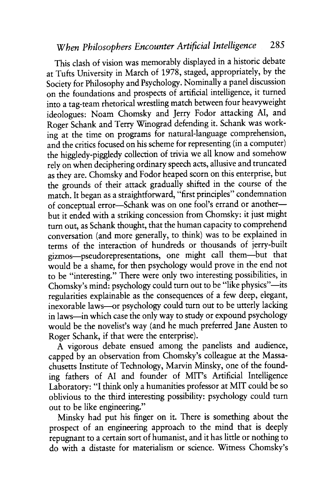# When Philosophers Encounter Artificial Intelligence 285<br>This clash of vision was memorably displayed in a historic debate 285

at Tufts University in March of 1978, staged, appropriately, by the Society for Philosophy and Psychology. Nominally a panel discussion on the foundations and prospects of artificial intelligence, it turned into a tag-team rhetorical wrestling match between four heavyweight ideologues: Noam Chomsky and Jerry Fodor attacking AI, and Roger Schank and Terry Winograd defending it. Schank was working at the time on programs for natural-language comprehension, and the critics focused on his scheme for representing (in a computer) the higgledy-piggledy collection of trivia we all know and somehow rely on when deciphering ordinary speech acts, allusive and truncated as they are. Chomsky and Fodor heaped scorn on this enterprise, but the grounds of their attack gradually shifted in the course of the match. It began as a straightforward, "first principles" condemnation of conceptual error-Schank was on one fool's errand or anotherbut it ended with a striking concession from Chomsky: it iust might turn out, as Schank thought, that the human capacity to comprehend conversation (and more generally, to think) was to be explained in terms of the interaction of hundreds or thousands of jerry-built gizmos-pseudorepresentations, one might call them-but that would be a shame, for then psychology would prove in the end not to be "interesting." There were only two interesting possibilities, in Chomsky's mind: psychology could turn out to be "like physics"—its regularities explainable as the consequences of a few deep, elegant, inexorable laws-or psychology could turn out to be utterly lacking in laws-in which case the only way to study or expound psychology in laws. In which case the only way to study or expound psychology would be the novelist's way (and he much preferred Jane Austen Roger Schank, if that were the enterprise).<br>A vigorous debate ensued among the panelists and audience,

capped by an observation from Chomsky's colleague at the Massachusetts Institute of Technology, Marvin Minsky, one of the founding fathers of AI and founder of MIT's Artificial Intelligence Laboratory: "I think only a humanities professor at MIT could be so Laboratory: "I think only a humanities professor at MIT could be so oblivious to the third interesting possibility: psychology could turn out to be like engineering."<br>Minsky had put his finger on it. There is something about the

prospect of an engineering approach to the mind that is deeply repugnant to a certain sort of humanist, and it has little or nothing to repugnant to a certain sort of humanisty, and it has  $\frac{1}{\sqrt{2}}$ do with a distaste for materialism or science. Witness Chomsk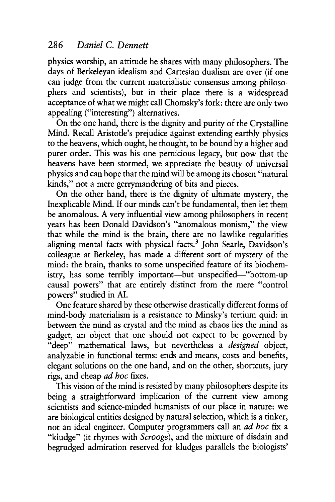physics worship, an attitude he shares with many philosophers. The can judge from the current materialistic consensus among philosophers and scientists), but in their place there is a widespread acceptance of what we might call Chomsky's fork: there are only two appealing ("interesting") alternatives.

On the one hand, there is the dignity and purity of the Crystalline Mind. Recall Aristotle's prejudice against extending earthly physics to the heavens, which ought, he thought, to be bound by a higher and purer order. This was his one pernicious legacy, but now that the heavens have been stormed, we appreciate the beauty of universal physics and can hope that the mind will be among its chosen "natural kinds," not a mere gerrymandering of bits and pieces.

On the other hand, there is the dignity of ultimate mystery, the In explicable Mind. If our minds can't be fundamental, then let them be anomalous. A very influential view among philosophers in recent vears has been Donald Davidson's "anomalous monism," the view that while the mind is the brain, there are no lawlike regularities aligning mental facts with physical facts.<sup>3</sup> John Searle, Davidson's colleague at Berkeley, has made a different sort of mystery of the mind: the brain, thanks to some unspecified feature of its biochemistry, has some terribly important—but unspecified—"bottom-up istry, has some terribly important?but unspecified?"bottom-up causal powers" that are entirely distinct from the mere "control powers" studied in AI.<br>One feature shared by these otherwise drastically different forms of

mind-body materialism is a resistance to Minsky's tertium quid: in between the mind as crystal and the mind as chaos lies the mind as gadget, an object that one should not expect to be governed by "deep" mathematical laws, but nevertheless a *designed* object, analyzable in functional terms: ends and means, costs and benefits, analyzable in functional terms: ends and means, costs and benefits, elegant solutions on the one hand, and on the other, shortcuts, jury rigs, and cheap *ad hoc* fixes.<br>This vision of the mind is resisted by many philosophers despite its

being a straightforward implication of the current view among scientists and science-minded humanists of our place in nature: we are biological entities designed by natural selection, which is a tinker, not an ideal engineer. Computer programmers call an *ad hoc* fix a "kludge" (it rhymes with Scrooge), and the mixture of disdain and "kludge" (it rhymes with Scrooge), and the mixture of disdain and begrudged admiration reserved for kludges parallels the biologists'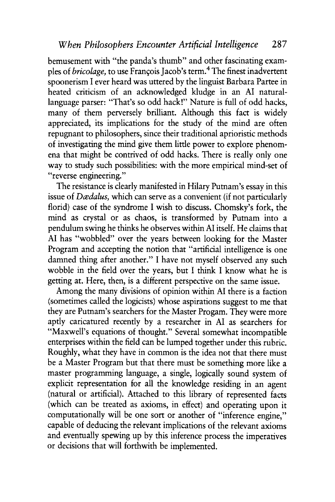bemusement with "the panda's thumb" and other fascinating examples of *bricolage*, to use François Jacob's term.<sup>4</sup> The finest inadvertent spoonerism I ever heard was uttered by the linguist Barbara Partee in heated criticism of an acknowledged kludge in an AI naturallanguage parser: "That's so odd hack!" Nature is full of odd hacks, many of them perversely brilliant. Although this fact is widely appreciated, its implications for the study of the mind are often repugnant to philosophers, since their traditional aprioristic methods of investigating the mind give them little power to explore phenomena that might be contrived of odd hacks. There is really only one ena that might be contrived of odd hacks. There is really only one way to study such possibilities: with the more empirical mind-set of "reverse engineering."

issue of Dædalus, which can serve as a convenient (if not particularly florid) case of the syndrome I wish to discuss. Chomsky's fork, the mind as crystal or as chaos, is transformed by Putnam into a pendulum swing he thinks he observes within AI itself. He claims that AI has "wobbled" over the years between looking for the Master Program and accepting the notion that "artificial intelligence is one damned thing after another." I have not myself observed any such wobble in the field over the vears, but I think I know what he is getting at. Here, then, is a different perspective on the same issue.

Among the many divisions of opinion within AI there is a faction (sometimes called the logicists) whose aspirations suggest to me that they are Putnam's searchers for the Master Progam. They were more aptly caricatured recently by a researcher in AI as searchers for "Maxwell's equations of thought." Several somewhat incompatible enterprises within the field can be lumped together under this rubric. Roughly, what they have in common is the idea not that there must be a Master Program but that there must be something more like a master programming language, a single, logically sound system of explicit representation for all the knowledge residing in an agent (natural or artificial). Attached to this library of represented facts (which can be treated as axioms, in effect) and operating upon it computationally will be one sort or another of "inference engine," capable of deducing the relevant implications of the relevant axioms and eventually spewing up by this inference process the imperatives  $\frac{1}{2}$  spewing up by this inference process the imperative or decisions that will forthwith be implemented.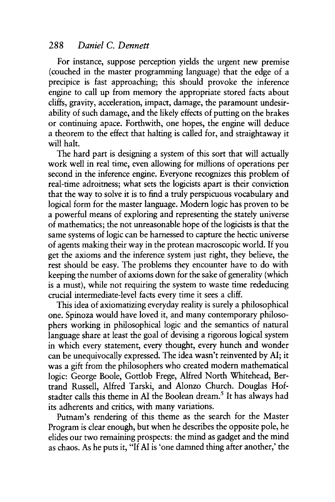For instance, suppose perception yields the urgent new premise (couched in the master programming language) that the edge of a precipice is fast approaching; this should provoke the inference engine to call up from memory the appropriate stored facts about cliffs, gravity, acceleration, impact, damage, the paramount undesirability of such damage, and the likely effects of putting on the brakes or continuing apace. Forthwith, one hopes, the engine will deduce or continuing apace. Forthwith, one hopes, the engine will deduce  $\frac{1}{11}$  t. will halt.<br>The hard part is designing a system of this sort that will actually

work well in real time, even allowing for millions of operations per second in the inference engine. Everyone recognizes this problem of real-time adroitness; what sets the logicists apart is their conviction that the way to solve it is to find a truly perspicuous vocabulary and logical form for the master language. Modern logic has proven to be a powerful means of exploring and representing the stately universe of mathematics; the not unreasonable hope of the logicists is that the same systems of logic can be harnessed to capture the hectic universe of agents making their way in the protean macroscopic world. If you get the axioms and the inference system just right, they believe, the rest should be easy. The problems they encounter have to do with keeping the number of axioms down for the sake of generality (which is a must), while not requiring the system to waste time rededucing crucial intermediate-level facts every time it sees a cliff.

This idea of axiomatizing every day reality is surely a philosophical one. Spinoza would have loved it, and many contemporary philosophers working in philosophical logic and the semantics of natural language share at least the goal of devising a rigorous logical system in which every statement, every thought, every hunch and wonder can be unequivocally expressed. The idea wasn't reinvented by AI; it was a gift from the philosophers who created modern mathematical logic: George Boole, Gottlob Frege, Alfred North Whitehead. Bertrand Russell, Alfred Tarski, and Alonzo Church. Douglas Hof trand Russell, Alfred Tarski, and Alonzo Church. Douglas Hof stadter cans this theme in AI the Boolean dream. It has always had its adherents and critics, with many variations.<br>Putnam's rendering of this theme as the search for the Master

Program is clear enough, but when he describes the opposite pole, he elides our two remaining prospects: the mind as gadget and the mind elides our two remaining prospects: the mind as gadget and the mind as chaos. As he puts  $\mathfrak{u}_1$  if  $\mathfrak{u}_2$  is 'one damned thing after another,'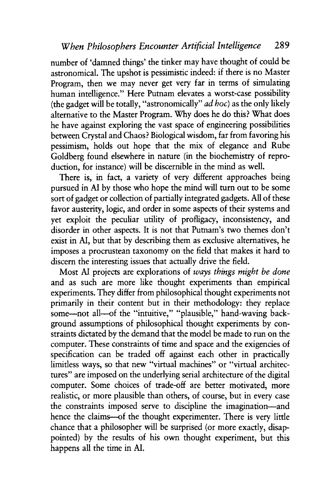astronomical. The upshot is pessimistic indeed: if there is no Master Program, then we may never get very far in terms of simulating human intelligence." Here Putnam elevates a worst-case possibility (the gadget will be totally, "astronomically"  $ad$  hoc) as the only likely alternative to the Master Program. Why does he do this? What does he have against exploring the vast space of engineering possibilities hetween Crystal and Chaos? Biological wisdom, far from favoring his pessimism, holds out hope that the mix of elegance and Rube Goldberg found elsewhere in nature (in the biochemistry of reproduction, for instance) will be discernible in the mind as well.

There is, in fact, a variety of very different approaches being pursued in AI by those who hope the mind will turn out to be some sort of gadget or collection of partially integrated gadgets. All of these favor austerity, logic, and order in some aspects of their systems and vet exploit the peculiar utility of profligacy, inconsistency, and disorder in other aspects. It is not that Putnam's two themes don't exist in AI, but that by describing them as exclusive alternatives, he imposes a procrustean taxonomy on the field that makes it hard to discern the interesting issues that actually drive the field.

Most AI projects are explorations of ways things might be done and as such are more like thought experiments than empirical experiments. They differ from philosophical thought experiments not primarily in their content but in their methodology: they replace some-not all-of the "intuitive," "plausible," hand-waving background assumptions of philosophical thought experiments by constraints dictated by the demand that the model be made to run on the computer. These constraints of time and space and the exigencies of specification can be traded off against each other in practically specification can be traded on against each other in practically limitless ways, so that new "virtual machines" or "virtual architec tures" are imposed on the underlying serial architecture of the digital computer. Some choices of trade-off are better motivated, more realistic, or more plausible than others, of course, but in every case the constraints imposed serve to discipline the imagination—and hence the claims of the thought experimenter. There is very little chance that a philosopher will be surprised (or more exactly, disapchance that a philosopher will be surprised (or more exactly, disapportune of  $f(x) = 1$  pointed) by the results of his own thought experiment, but this happens all the time in AI.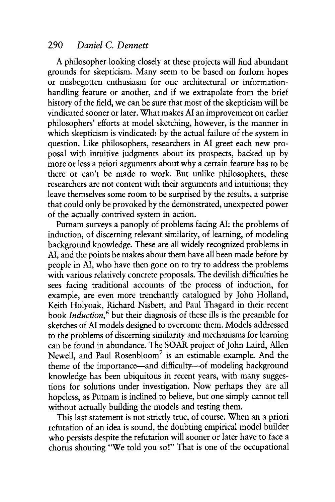A philosopher looking closely at these projects will find abundant grounds for skepticism. Many seem to be based on forlorn hopes or misbegotten enthusiasm for one architectural or informationhandling feature or another, and if we extrapolate from the brief history of the field, we can be sure that most of the skepticism will be vindicated sooner or later. What makes AI an improvement on earlier philosophers' efforts at model sketching, however, is the manner in which skepticism is vindicated: by the actual failure of the system in question. Like philosophers, researchers in AI greet each new proposal with intuitive judgments about its prospects, backed up by more or less a priori arguments about why a certain feature has to be there or can't be made to work. But unlike philosophers, these researchers are not content with their arguments and intuitions; they leave themselves some room to be surprised by the results, a surprise that could only be provoked by the demonstrated, unexpected power of the actually contrived system in action.

Putnam surveys a panoply of problems facing AI: the problems of induction, of discerning relevant similarity, of learning, of modeling background knowledge. These are all widely recognized problems in AI, and the points he makes about them have all been made before by people in AI, who have then gone on to try to address the problems with various relatively concrete proposals. The devilish difficulties he sees facing traditional accounts of the process of induction, for example, are even more trenchantly catalogued by John Holland, Keith Holyoak, Richard Nisbett, and Paul Thagard in their recent book *Induction*,<sup>6</sup> but their diagnosis of these ills is the preamble for sketches of AI models designed to overcome them. Models addressed to the problems of discerning similarity and mechanisms for learning. can be found in abundance. The SOAR project of John Laird, Allen Newell, and Paul Rosenbloom<sup>7</sup> is an estimable example. And the theme of the importance—and difficulty—of modeling background knowledge has been ubiquitous in recent years, with many suggestions for solutions under investigation. Now perhaps they are all hopeless, as Putnam is inclined to believe, but one simply cannot tell without actually building the models and testing them.

This last statement is not strictly true, of course. When an a priori refutation of an idea is sound, the doubting empirical model builder who persists despite the refutation will sooner or later have to face a who persists despite the returned will sooner or later have to face a chorus shouting "We told you so!" That is one of the occupational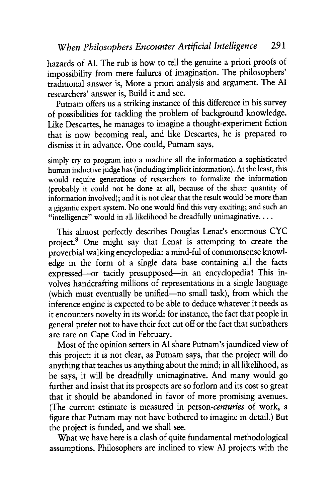When Philosophers Encounter Artificial Intelligence 291<br>hazards of AI. The rub is how to tell the genuine a priori proofs of impossibility from mere failures of imagination. The philosophers' impossibility from mere failures of imagination. The philosophers' traditional answer is, More a priori analysis and argument. The AI researchers' answer is, Build it and see.<br>Putnam offers us a striking instance of this difference in his survey

of possibilities for tackling the problem of background knowledge. Like Descartes, he manages to imagine a thought-experiment fiction that is now becoming real, and like Descartes, he is prepared to that is now becoming real, and like Descartes, he is prepared to dismiss it in advance. One could, I dinam says,

simply try to program into a machine all the information a sophisticated<br>human inductive judge has (including implicit information). At the least, this would require generations of researchers to formalize the information (probably it could not be done at all, because of the sheer quantity of information involved); and it is not clear that the result would be more than a gigantic expert system. No one would find this very exciting; and such an  $\alpha$  gigantic expert system. No one wild find the world find the system.  $\frac{1}{2}$  intelligence" would in all intellifeed be dreadfully unimaginative.

This almost perfectly describes Douglas Lenat's enormous CYC<br>project.<sup>8</sup> One might say that Lenat is attempting to create the proverbial walking encyclopedia: a mind-ful of commonsense knowledge in the form of a single data base containing all the facts expressed-or tacitly presupposed-in an encyclopedia! This involves handcrafting millions of representations in a single language (which must eventually be unified—no small task), from which the inference engine is expected to be able to deduce whatever it needs as it encounters novelty in its world: for instance, the fact that people in general prefer not to have their feet cut off or the fact that sunbathers are rare on Cape Cod in February.

Most of the opinion setters in AI share Putnam's jaundiced view of this project: it is not clear, as Putnam says, that the project will do anything that teaches us anything about the mind; in all likelihood, as he says, it will be dreadfully unimaginative. And many would go further and insist that its prospects are so forlorn and its cost so great that it should be abandoned in favor of more promising avenues. (The current estimate is measured in person-centuries of work, a figure that Putnam may not have bothered to imagine in detail.) But the project is funded, and we shall see.

What we have here is a clash of quite fundamental methodological What we have here is a clash of quite fundamental methodological assumptions. Philosophers are inclined to view AI projects with the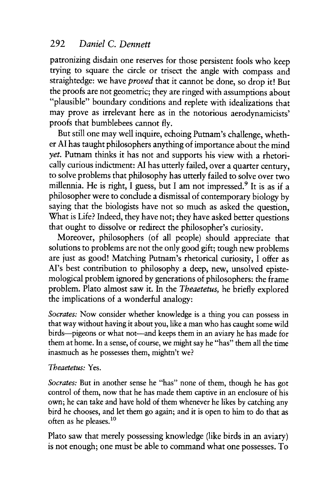patronizing disdain one reserves for those persistent fools who keep trying to square the circle or trisect the angle with compass and straightedge: we have proved that it cannot be done, so drop it! But the proofs are not geometric; they are ringed with assumptions about "plausible" boundary conditions and replete with idealizations that platform boundary conditions and replete with idealizations that may prove as irrelevant here as in the notorious aerodynamicists proofs that bumblebees cannot fly.<br>But still one may well inquire, echoing Putnam's challenge, wheth-

er AI has taught philosophers anything of importance about the mind yet. Putnam thinks it has not and supports his view with a rhetorically curious indictment: AI has utterly failed, over a quarter century, to solve problems that philosophy has utterly failed to solve over two millennia. He is right, I guess, but I am not impressed.<sup>9</sup> It is as if a philosopher were to conclude a dismissal of contemporary biology by saying that the biologists have not so much as asked the question. What is Life? Indeed, they have not; they have asked better questions that ought to dissolve or redirect the philosopher's curiosity.

Moreover, philosophers (of all people) should appreciate that solutions to problems are not the only good gift; tough new problems are just as good! Matching Putnam's rhetorical curiosity, I offer as Al's best contribution to philosophy a deep, new, unsolved epistemological problem ignored by generations of philosophers: the frame problem. Plato almost saw it. In the Theaetetus, he briefly explored problem. Plato almost saw it. In the Theaetetus, he briefly explored the implications of a wonderful analogy:

Socrates: Now consider whether knowledge is a thing you can possess in that way without having it about you, like a man who has caught some wild birds—pigeons or what not—and keeps them in an aviary he has made for birds?pigeons or what not?and keeps them in an aviary he has made for them at home. In a sense, of course, we might say he "has" them all the time inasmuch as he possesses them, mightn't we?

#### Theaetetus: Yes.

Socrates: But in another sense he "has" none of them, though he has got control of them, now that he has made them captive in an enclosure of his own; he can take and have hold of them whenever he likes by catching any own; he can take and have hold of them whenever he likes by catching any bird he chooses, and let them go again; and it is open to him to do that as often as he pleases.<sup>10</sup>

 Plato saw that merely possessing knowledge (like birds in an aviary) is not enough; one must be able to command what one possesses. To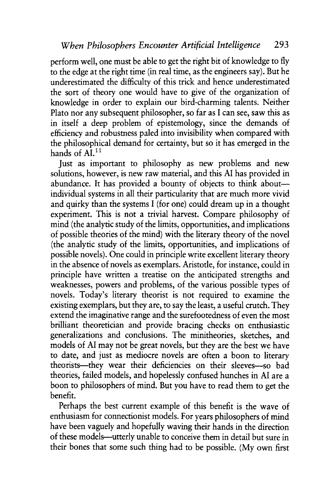perform well, one must be able to get the right bit of knowledge to fly<br>to the edge at the right time (in real time, as the engineers say). But he underestimated the difficulty of this trick and hence underestimated the sort of theory one would have to give of the organization of knowledge in order to explain our bird-charming talents. Neither Plato nor any subsequent philosopher, so far as I can see, saw this as in itself a deep problem of epistemology, since the demands of efficiency and robustness paled into invisibility when compared with efficiency and robustness paled into invisibility when compared with the philosophical demand for certainty, but so it has emerged in the hands of  $AI.^{11}$ .<br>[ust as important to philosophy as new problems and new

solutions, however, is new raw material, and this AI has provided in abundance. It has provided a bounty of objects to think about individual systems in all their particularity that are much more vivid and quirky than the systems I (for one) could dream up in a thought experiment. This is not a trivial harvest. Compare philosophy of mind (the analytic study of the limits, opportunities, and implications of possible theories of the mind) with the literary theory of the novel (the analytic study of the limits, opportunities, and implications of possible novels). One could in principle write excellent literary theory in the absence of novels as exemplars. Aristotle, for instance, could in principle have written a treatise on the anticipated strengths and weaknesses, powers and problems, of the various possible types of novels. Today's literary theorist is not required to examine the existing exemplars, but they are, to say the least, a useful crutch. They extend the imaginative range and the surefootedness of even the most brilliant theoretician and provide bracing checks on enthusiastic generalizations and conclusions. The minitheories, sketches, and models of AI may not be great novels, but they are the best we have to date, and just as mediocre novels are often a boon to literary theorists—they wear their deficiencies on their sleeves—so bad theories, failed models, and hopelessly confused hunches in AI are a theories, failed models, and hopelessly confused hunches in AI are  $\frac{1}{2}$ benefit.<br>Perhaps the best current example of this benefit is the wave of

enthusiasm for connectionist models. For years philosophers of mind have been vaguely and hopefully waving their hands in the direction of these models--utterly unable to conceive them in detail but sure in  $\frac{1}{1}$  these models?utterly undere to concerve them in detail but sure their bones that some such thing had to be possible. (My OWN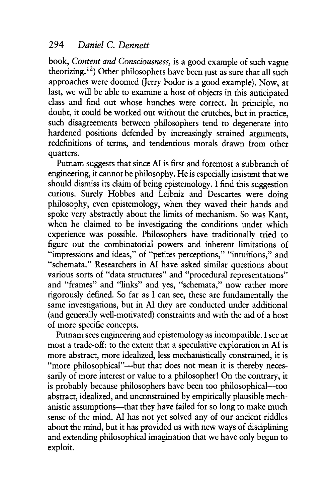book, Content and Consciousness, is a good example of such vague theorizing.<sup>12</sup>) Other philosophers have been just as sure that all such approaches were doomed (Jerry Fodor is a good example). Now, at last, we will be able to examine a host of objects in this anticipated class and find out whose hunches were correct. In principle, no doubt, it could be worked out without the crutches, but in practice, such disagreements between philosophers tend to degenerate into hardened positions defended by increasingly strained arguments. hardened positions defended by increasingly strained arguments, redefinitions of terms, and tendentious morals drawn from other quarters.<br>Putnam suggests that since AI is first and foremost a subbranch of

engineering, it cannot be philosophy. He is especially insistent that we should dismiss its claim of being epistemology. I find this suggestion curious. Surely Hobbes and Leibniz and Descartes were doing philosophy, even epistemology, when they waved their hands and spoke very abstractly about the limits of mechanism. So was Kant, when he claimed to be investigating the conditions under which experience was possible. Philosophers have traditionally tried to figure out the combinatorial powers and inherent limitations of "impressions and ideas," of "petites perceptions," "intuitions," and "schemata." Researchers in AI have asked similar questions about various sorts of "data structures" and "procedural representations" and "frames" and "links" and yes, "schemata," now rather more rigorously defined. So far as I can see, these are fundamentally the same investigations, but in AI they are conducted under additional (and generally well-motivated) constraints and with the aid of a host of more specific concepts.

Putnam sees engineering and epistemology as incompatible. I see at most a trade-off: to the extent that a speculative exploration in AI is more abstract, more idealized, less mechanistically constrained, it is "more philosophical"—but that does not mean it is thereby necessarily of more interest or value to a philosopher! On the contrary, it is probably because philosophers have been too philosophical—too abstract, idealized, and unconstrained by empirically plausible mechanistic assumptions—that they have failed for so long to make much sense of the mind. AI has not vet solved any of our ancient riddles about the mind, but it has provided us with new ways of disciplining about the mind, but it has provided us with new ways of disciplining and extending philosophied imagination that we have only begun exploit.